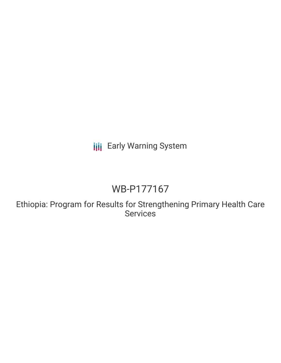# **III** Early Warning System

# WB-P177167

Ethiopia: Program for Results for Strengthening Primary Health Care Services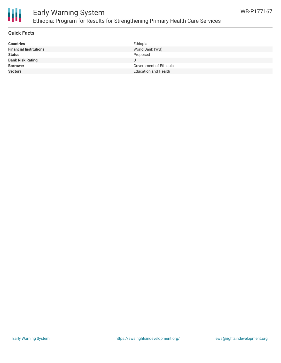

# Early Warning System Ethiopia: Program for Results for Strengthening Primary Health Care Services

### **Quick Facts**

| <b>Countries</b>              | Ethiopia                    |
|-------------------------------|-----------------------------|
| <b>Financial Institutions</b> | World Bank (WB)             |
| <b>Status</b>                 | Proposed                    |
| <b>Bank Risk Rating</b>       | U                           |
| <b>Borrower</b>               | Government of Ethiopia      |
| <b>Sectors</b>                | <b>Education and Health</b> |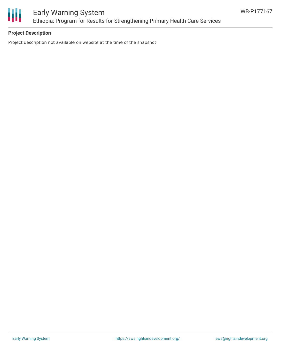

## **Project Description**

Project description not available on website at the time of the snapshot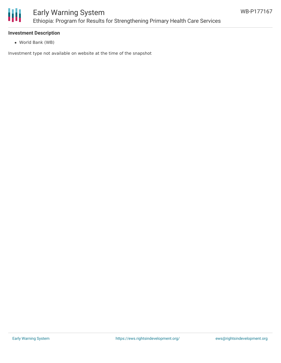

#### **Investment Description**

World Bank (WB)

Investment type not available on website at the time of the snapshot